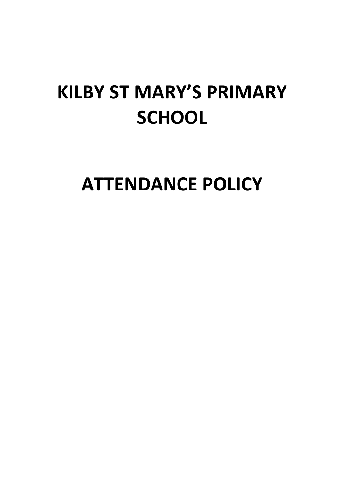# **KILBY ST MARY'S PRIMARY SCHOOL**

**ATTENDANCE POLICY**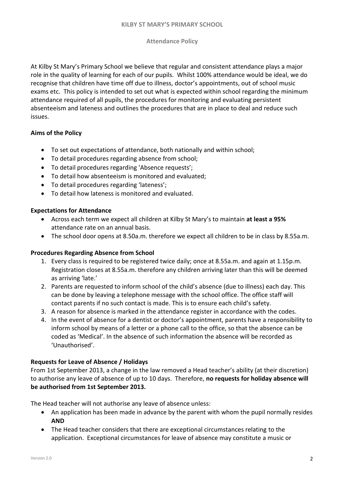#### **Attendance Policy**

At Kilby St Mary's Primary School we believe that regular and consistent attendance plays a major role in the quality of learning for each of our pupils. Whilst 100% attendance would be ideal, we do recognise that children have time off due to illness, doctor's appointments, out of school music exams etc. This policy is intended to set out what is expected within school regarding the minimum attendance required of all pupils, the procedures for monitoring and evaluating persistent absenteeism and lateness and outlines the procedures that are in place to deal and reduce such issues.

#### **Aims of the Policy**

- To set out expectations of attendance, both nationally and within school;
- To detail procedures regarding absence from school;
- To detail procedures regarding 'Absence requests';
- To detail how absenteeism is monitored and evaluated;
- To detail procedures regarding 'lateness';
- To detail how lateness is monitored and evaluated.

#### **Expectations for Attendance**

- Across each term we expect all children at Kilby St Mary's to maintain **at least a 95%** attendance rate on an annual basis.
- The school door opens at 8.50a.m. therefore we expect all children to be in class by 8.55a.m.

#### **Procedures Regarding Absence from School**

- 1. Every class is required to be registered twice daily; once at 8.55a.m. and again at 1.15p.m. Registration closes at 8.55a.m. therefore any children arriving later than this will be deemed as arriving 'late.'
- 2. Parents are requested to inform school of the child's absence (due to illness) each day. This can be done by leaving a telephone message with the school office. The office staff will contact parents if no such contact is made. This is to ensure each child's safety.
- 3. A reason for absence is marked in the attendance register in accordance with the codes.
- 4. In the event of absence for a dentist or doctor's appointment, parents have a responsibility to inform school by means of a letter or a phone call to the office, so that the absence can be coded as 'Medical'. In the absence of such information the absence will be recorded as 'Unauthorised'.

#### **Requests for Leave of Absence / Holidays**

From 1st September 2013, a change in the law removed a Head teacher's ability (at their discretion) to authorise any leave of absence of up to 10 days. Therefore, **no requests for holiday absence will be authorised from 1st September 2013.**

The Head teacher will not authorise any leave of absence unless:

- An application has been made in advance by the parent with whom the pupil normally resides **AND**
- The Head teacher considers that there are exceptional circumstances relating to the application. Exceptional circumstances for leave of absence may constitute a music or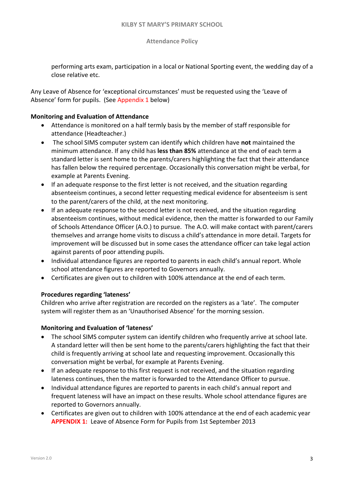**Attendance Policy**

performing arts exam, participation in a local or National Sporting event, the wedding day of a close relative etc.

Any Leave of Absence for 'exceptional circumstances' must be requested using the 'Leave of Absence' form for pupils. (See Appendix 1 below)

#### **Monitoring and Evaluation of Attendance**

- Attendance is monitored on a half termly basis by the member of staff responsible for attendance (Headteacher.)
- The school SIMS computer system can identify which children have **not** maintained the minimum attendance. If any child has **less than 85%** attendance at the end of each term a standard letter is sent home to the parents/carers highlighting the fact that their attendance has fallen below the required percentage. Occasionally this conversation might be verbal, for example at Parents Evening.
- If an adequate response to the first letter is not received, and the situation regarding absenteeism continues, a second letter requesting medical evidence for absenteeism is sent to the parent/carers of the child, at the next monitoring.
- If an adequate response to the second letter is not received, and the situation regarding absenteeism continues, without medical evidence, then the matter is forwarded to our Family of Schools Attendance Officer (A.O.) to pursue. The A.O. will make contact with parent/carers themselves and arrange home visits to discuss a child's attendance in more detail. Targets for improvement will be discussed but in some cases the attendance officer can take legal action against parents of poor attending pupils.
- Individual attendance figures are reported to parents in each child's annual report. Whole school attendance figures are reported to Governors annually.
- Certificates are given out to children with 100% attendance at the end of each term.

#### **Procedures regarding 'lateness'**

Children who arrive after registration are recorded on the registers as a 'late'. The computer system will register them as an 'Unauthorised Absence' for the morning session.

#### **Monitoring and Evaluation of 'lateness'**

- The school SIMS computer system can identify children who frequently arrive at school late. A standard letter will then be sent home to the parents/carers highlighting the fact that their child is frequently arriving at school late and requesting improvement. Occasionally this conversation might be verbal, for example at Parents Evening.
- If an adequate response to this first request is not received, and the situation regarding lateness continues, then the matter is forwarded to the Attendance Officer to pursue.
- Individual attendance figures are reported to parents in each child's annual report and frequent lateness will have an impact on these results. Whole school attendance figures are reported to Governors annually.
- Certificates are given out to children with 100% attendance at the end of each academic year **APPENDIX 1:** Leave of Absence Form for Pupils from 1st September 2013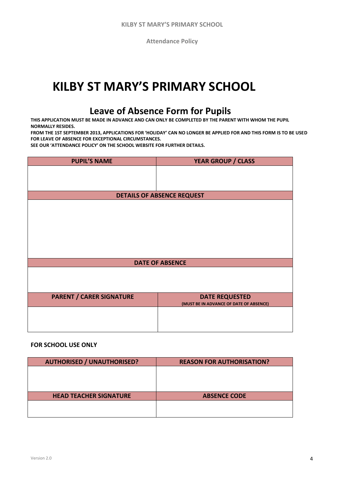**Attendance Policy**

## **KILBY ST MARY'S PRIMARY SCHOOL**

### **Leave of Absence Form for Pupils**

**THIS APPLICATION MUST BE MADE IN ADVANCE AND CAN ONLY BE COMPLETED BY THE PARENT WITH WHOM THE PUPIL NORMALLY RESIDES.** 

**FROM THE 1ST SEPTEMBER 2013, APPLICATIONS FOR 'HOLIDAY' CAN NO LONGER BE APPLIED FOR AND THIS FORM IS TO BE USED FOR LEAVE OF ABSENCE FOR EXCEPTIONAL CIRCUMSTANCES.** 

**SEE OUR 'ATTENDANCE POLICY' ON THE SCHOOL WEBSITE FOR FURTHER DETAILS.**

| <b>PUPIL'S NAME</b>               | <b>YEAR GROUP / CLASS</b>               |  |  |
|-----------------------------------|-----------------------------------------|--|--|
|                                   |                                         |  |  |
|                                   |                                         |  |  |
|                                   |                                         |  |  |
| <b>DETAILS OF ABSENCE REQUEST</b> |                                         |  |  |
|                                   |                                         |  |  |
|                                   |                                         |  |  |
|                                   |                                         |  |  |
|                                   |                                         |  |  |
|                                   |                                         |  |  |
|                                   |                                         |  |  |
|                                   |                                         |  |  |
| <b>DATE OF ABSENCE</b>            |                                         |  |  |
|                                   |                                         |  |  |
|                                   |                                         |  |  |
|                                   |                                         |  |  |
| <b>PARENT / CARER SIGNATURE</b>   | <b>DATE REQUESTED</b>                   |  |  |
|                                   | (MUST BE IN ADVANCE OF DATE OF ABSENCE) |  |  |
|                                   |                                         |  |  |
|                                   |                                         |  |  |
|                                   |                                         |  |  |

#### **FOR SCHOOL USE ONLY**

| <b>AUTHORISED / UNAUTHORISED?</b> | <b>REASON FOR AUTHORISATION?</b> |
|-----------------------------------|----------------------------------|
|                                   |                                  |
|                                   |                                  |
|                                   |                                  |
| <b>HEAD TEACHER SIGNATURE</b>     | <b>ABSENCE CODE</b>              |
|                                   |                                  |
|                                   |                                  |